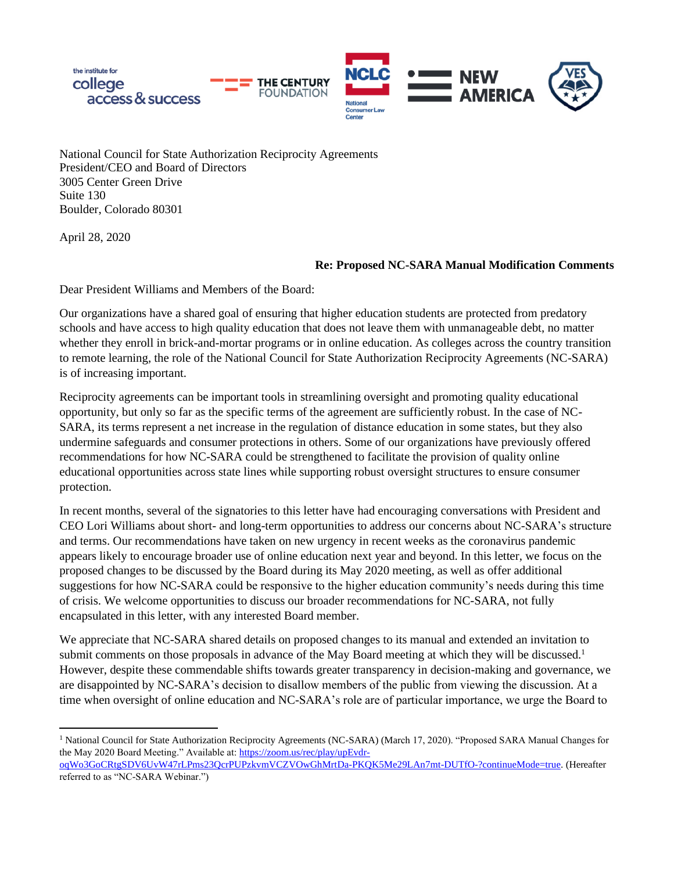

National Council for State Authorization Reciprocity Agreements President/CEO and Board of Directors 3005 Center Green Drive Suite 130 Boulder, Colorado 80301

April 28, 2020

#### **Re: Proposed NC-SARA Manual Modification Comments**

Dear President Williams and Members of the Board:

Our organizations have a shared goal of ensuring that higher education students are protected from predatory schools and have access to high quality education that does not leave them with unmanageable debt, no matter whether they enroll in brick-and-mortar programs or in online education. As colleges across the country transition to remote learning, the role of the National Council for State Authorization Reciprocity Agreements (NC-SARA) is of increasing important.

Reciprocity agreements can be important tools in streamlining oversight and promoting quality educational opportunity, but only so far as the specific terms of the agreement are sufficiently robust. In the case of NC-SARA, its terms represent a net increase in the regulation of distance education in some states, but they also undermine safeguards and consumer protections in others. Some of our organizations have previously offered recommendations for how NC-SARA could be strengthened to facilitate the provision of quality online educational opportunities across state lines while supporting robust oversight structures to ensure consumer protection.

In recent months, several of the signatories to this letter have had encouraging conversations with President and CEO Lori Williams about short- and long-term opportunities to address our concerns about NC-SARA's structure and terms. Our recommendations have taken on new urgency in recent weeks as the coronavirus pandemic appears likely to encourage broader use of online education next year and beyond. In this letter, we focus on the proposed changes to be discussed by the Board during its May 2020 meeting, as well as offer additional suggestions for how NC-SARA could be responsive to the higher education community's needs during this time of crisis. We welcome opportunities to discuss our broader recommendations for NC-SARA, not fully encapsulated in this letter, with any interested Board member.

We appreciate that NC-SARA shared details on proposed changes to its manual and extended an invitation to submit comments on those proposals in advance of the May Board meeting at which they will be discussed.<sup>1</sup> However, despite these commendable shifts towards greater transparency in decision-making and governance, we are disappointed by NC-SARA's decision to disallow members of the public from viewing the discussion. At a time when oversight of online education and NC-SARA's role are of particular importance, we urge the Board to

<sup>&</sup>lt;sup>1</sup> National Council for State Authorization Reciprocity Agreements (NC-SARA) (March 17, 2020). "Proposed SARA Manual Changes for the May 2020 Board Meeting." Available at[: https://zoom.us/rec/play/upEvdr-](https://zoom.us/rec/play/upEvdr-oqWo3GoCRtgSDV6UvW47rLPms23QcrPUPzkvmVCZVOwGhMrtDa-PKQK5Me29LAn7mt-DUTfO-?continueMode=true)

[oqWo3GoCRtgSDV6UvW47rLPms23QcrPUPzkvmVCZVOwGhMrtDa-PKQK5Me29LAn7mt-DUTfO-?continueMode=true.](https://zoom.us/rec/play/upEvdr-oqWo3GoCRtgSDV6UvW47rLPms23QcrPUPzkvmVCZVOwGhMrtDa-PKQK5Me29LAn7mt-DUTfO-?continueMode=true) (Hereafter referred to as "NC-SARA Webinar.")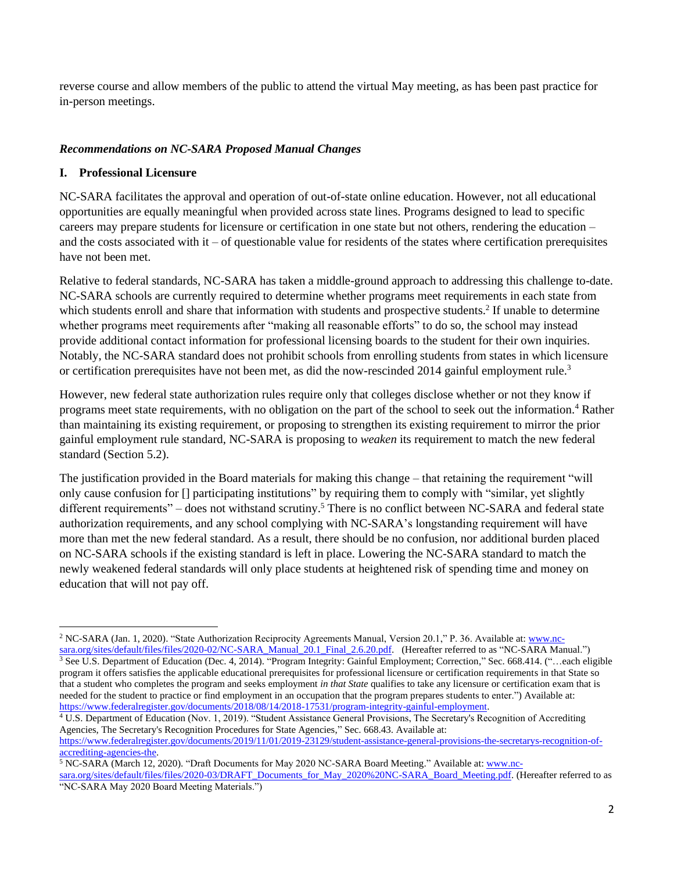reverse course and allow members of the public to attend the virtual May meeting, as has been past practice for in-person meetings.

## *Recommendations on NC-SARA Proposed Manual Changes*

#### **I. Professional Licensure**

NC-SARA facilitates the approval and operation of out-of-state online education. However, not all educational opportunities are equally meaningful when provided across state lines. Programs designed to lead to specific careers may prepare students for licensure or certification in one state but not others, rendering the education – and the costs associated with it – of questionable value for residents of the states where certification prerequisites have not been met.

Relative to federal standards, NC-SARA has taken a middle-ground approach to addressing this challenge to-date. NC-SARA schools are currently required to determine whether programs meet requirements in each state from which students enroll and share that information with students and prospective students.<sup>2</sup> If unable to determine whether programs meet requirements after "making all reasonable efforts" to do so, the school may instead provide additional contact information for professional licensing boards to the student for their own inquiries. Notably, the NC-SARA standard does not prohibit schools from enrolling students from states in which licensure or certification prerequisites have not been met, as did the now-rescinded 2014 gainful employment rule.<sup>3</sup>

However, new federal state authorization rules require only that colleges disclose whether or not they know if programs meet state requirements, with no obligation on the part of the school to seek out the information.<sup>4</sup> Rather than maintaining its existing requirement, or proposing to strengthen its existing requirement to mirror the prior gainful employment rule standard, NC-SARA is proposing to *weaken* its requirement to match the new federal standard (Section 5.2).

The justification provided in the Board materials for making this change – that retaining the requirement "will only cause confusion for [] participating institutions" by requiring them to comply with "similar, yet slightly different requirements" – does not withstand scrutiny.<sup>5</sup> There is no conflict between NC-SARA and federal state authorization requirements, and any school complying with NC-SARA's longstanding requirement will have more than met the new federal standard. As a result, there should be no confusion, nor additional burden placed on NC-SARA schools if the existing standard is left in place. Lowering the NC-SARA standard to match the newly weakened federal standards will only place students at heightened risk of spending time and money on education that will not pay off.

<sup>4</sup> U.S. Department of Education (Nov. 1, 2019). "Student Assistance General Provisions, The Secretary's Recognition of Accrediting Agencies, The Secretary's Recognition Procedures for State Agencies," Sec. 668.43. Available at: [https://www.federalregister.gov/documents/2019/11/01/2019-23129/student-assistance-general-provisions-the-secretarys-recognition-of-](https://www.federalregister.gov/documents/2019/11/01/2019-23129/student-assistance-general-provisions-the-secretarys-recognition-of-accrediting-agencies-the)

[accrediting-agencies-the.](https://www.federalregister.gov/documents/2019/11/01/2019-23129/student-assistance-general-provisions-the-secretarys-recognition-of-accrediting-agencies-the)

<sup>2</sup> NC-SARA (Jan. 1, 2020). "State Authorization Reciprocity Agreements Manual, Version 20.1," P. 36. Available at: [www.nc](http://www.nc-sara.org/sites/default/files/files/2020-02/NC-SARA_Manual_20.1_Final_2.6.20.pdf)[sara.org/sites/default/files/files/2020-02/NC-SARA\\_Manual\\_20.1\\_Final\\_2.6.20.pdf.](http://www.nc-sara.org/sites/default/files/files/2020-02/NC-SARA_Manual_20.1_Final_2.6.20.pdf) (Hereafter referred to as "NC-SARA Manual.")

 $\frac{3}{3}$  See U.S. Department of Education (Dec. 4, 2014). "Program Integrity: Gainful Employment; Correction," Sec. 668.414. ("...each eligible program it offers satisfies the applicable educational prerequisites for professional licensure or certification requirements in that State so that a student who completes the program and seeks employment *in that State* qualifies to take any licensure or certification exam that is needed for the student to practice or find employment in an occupation that the program prepares students to enter.") Available at: [https://www.federalregister.gov/documents/2018/08/14/2018-17531/program-integrity-gainful-employment.](https://www.federalregister.gov/documents/2018/08/14/2018-17531/program-integrity-gainful-employment) 

<sup>5</sup> NC-SARA (March 12, 2020). "Draft Documents for May 2020 NC-SARA Board Meeting." Available at: [www.nc](http://www.nc-sara.org/sites/default/files/files/2020-03/DRAFT_Documents_for_May_2020%20NC-SARA_Board_Meeting.pdf)[sara.org/sites/default/files/files/2020-03/DRAFT\\_Documents\\_for\\_May\\_2020%20NC-SARA\\_Board\\_Meeting.pdf.](http://www.nc-sara.org/sites/default/files/files/2020-03/DRAFT_Documents_for_May_2020%20NC-SARA_Board_Meeting.pdf) (Hereafter referred to as "NC-SARA May 2020 Board Meeting Materials.")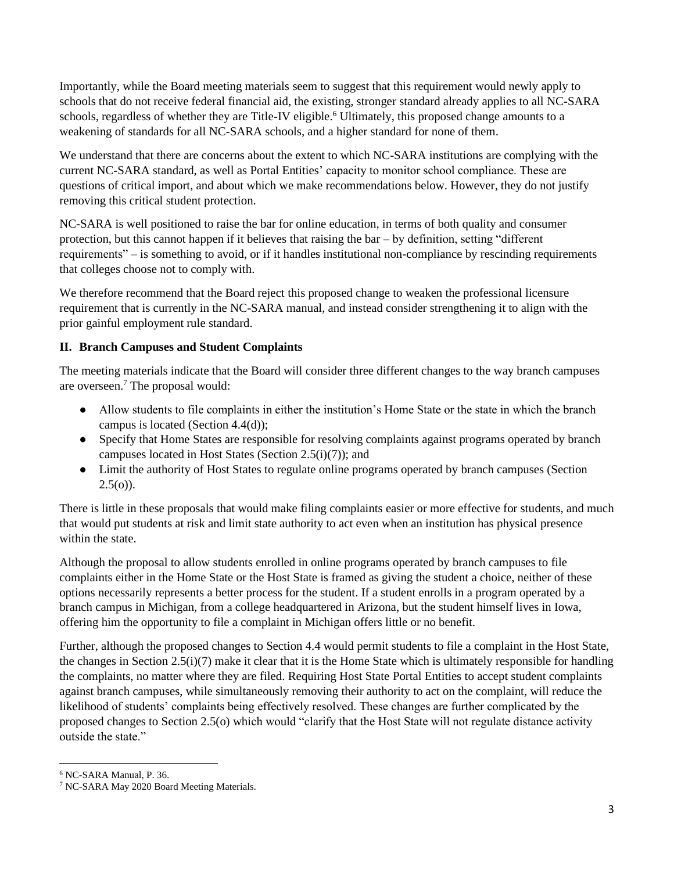Importantly, while the Board meeting materials seem to suggest that this requirement would newly apply to schools that do not receive federal financial aid, the existing, stronger standard already applies to all NC-SARA schools, regardless of whether they are Title-IV eligible.<sup>6</sup> Ultimately, this proposed change amounts to a weakening of standards for all NC-SARA schools, and a higher standard for none of them.

We understand that there are concerns about the extent to which NC-SARA institutions are complying with the current NC-SARA standard, as well as Portal Entities' capacity to monitor school compliance. These are questions of critical import, and about which we make recommendations below. However, they do not justify removing this critical student protection.

NC-SARA is well positioned to raise the bar for online education, in terms of both quality and consumer protection, but this cannot happen if it believes that raising the bar – by definition, setting "different requirements" – is something to avoid, or if it handles institutional non-compliance by rescinding requirements that colleges choose not to comply with.

We therefore recommend that the Board reject this proposed change to weaken the professional licensure requirement that is currently in the NC-SARA manual, and instead consider strengthening it to align with the prior gainful employment rule standard.

# **II. Branch Campuses and Student Complaints**

The meeting materials indicate that the Board will consider three different changes to the way branch campuses are overseen.<sup>7</sup> The proposal would:

- Allow students to file complaints in either the institution's Home State or the state in which the branch campus is located (Section 4.4(d));
- Specify that Home States are responsible for resolving complaints against programs operated by branch campuses located in Host States (Section 2.5(i)(7)); and
- Limit the authority of Host States to regulate online programs operated by branch campuses (Section  $2.5(0)$ ).

There is little in these proposals that would make filing complaints easier or more effective for students, and much that would put students at risk and limit state authority to act even when an institution has physical presence within the state.

Although the proposal to allow students enrolled in online programs operated by branch campuses to file complaints either in the Home State or the Host State is framed as giving the student a choice, neither of these options necessarily represents a better process for the student. If a student enrolls in a program operated by a branch campus in Michigan, from a college headquartered in Arizona, but the student himself lives in Iowa, offering him the opportunity to file a complaint in Michigan offers little or no benefit.

Further, although the proposed changes to Section 4.4 would permit students to file a complaint in the Host State, the changes in Section  $2.5(i)(7)$  make it clear that it is the Home State which is ultimately responsible for handling the complaints, no matter where they are filed. Requiring Host State Portal Entities to accept student complaints against branch campuses, while simultaneously removing their authority to act on the complaint, will reduce the likelihood of students' complaints being effectively resolved. These changes are further complicated by the proposed changes to Section 2.5(o) which would "clarify that the Host State will not regulate distance activity outside the state."

<sup>6</sup> NC-SARA Manual, P. 36.

<sup>7</sup> NC-SARA May 2020 Board Meeting Materials.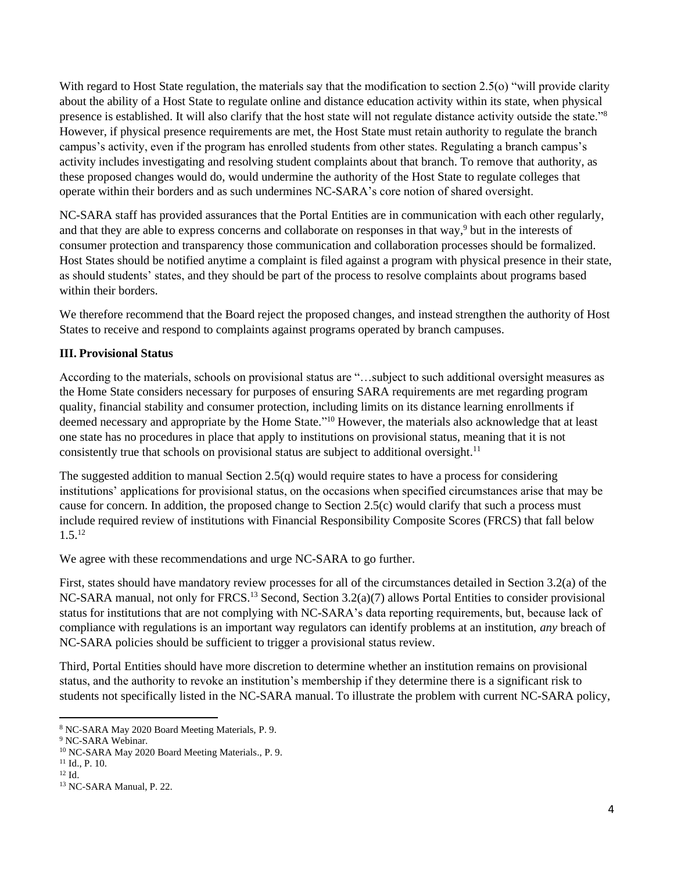With regard to Host State regulation, the materials say that the modification to section 2.5(o) "will provide clarity about the ability of a Host State to regulate online and distance education activity within its state, when physical presence is established. It will also clarify that the host state will not regulate distance activity outside the state."<sup>8</sup> However, if physical presence requirements are met, the Host State must retain authority to regulate the branch campus's activity, even if the program has enrolled students from other states. Regulating a branch campus's activity includes investigating and resolving student complaints about that branch. To remove that authority, as these proposed changes would do, would undermine the authority of the Host State to regulate colleges that operate within their borders and as such undermines NC-SARA's core notion of shared oversight.

NC-SARA staff has provided assurances that the Portal Entities are in communication with each other regularly, and that they are able to express concerns and collaborate on responses in that way,<sup>9</sup> but in the interests of consumer protection and transparency those communication and collaboration processes should be formalized. Host States should be notified anytime a complaint is filed against a program with physical presence in their state, as should students' states, and they should be part of the process to resolve complaints about programs based within their borders.

We therefore recommend that the Board reject the proposed changes, and instead strengthen the authority of Host States to receive and respond to complaints against programs operated by branch campuses.

## **III. Provisional Status**

According to the materials, schools on provisional status are "…subject to such additional oversight measures as the Home State considers necessary for purposes of ensuring SARA requirements are met regarding program quality, financial stability and consumer protection, including limits on its distance learning enrollments if deemed necessary and appropriate by the Home State." <sup>10</sup> However, the materials also acknowledge that at least one state has no procedures in place that apply to institutions on provisional status, meaning that it is not consistently true that schools on provisional status are subject to additional oversight.<sup>11</sup>

The suggested addition to manual Section 2.5(q) would require states to have a process for considering institutions' applications for provisional status, on the occasions when specified circumstances arise that may be cause for concern. In addition, the proposed change to Section 2.5(c) would clarify that such a process must include required review of institutions with Financial Responsibility Composite Scores (FRCS) that fall below  $1.5^{12}$ 

We agree with these recommendations and urge NC-SARA to go further.

First, states should have mandatory review processes for all of the circumstances detailed in Section 3.2(a) of the NC-SARA manual, not only for FRCS.<sup>13</sup> Second, Section 3.2(a)(7) allows Portal Entities to consider provisional status for institutions that are not complying with NC-SARA's data reporting requirements, but, because lack of compliance with regulations is an important way regulators can identify problems at an institution, *any* breach of NC-SARA policies should be sufficient to trigger a provisional status review.

Third, Portal Entities should have more discretion to determine whether an institution remains on provisional status, and the authority to revoke an institution's membership if they determine there is a significant risk to students not specifically listed in the NC-SARA manual. To illustrate the problem with current NC-SARA policy,

<sup>8</sup> NC-SARA May 2020 Board Meeting Materials, P. 9.

<sup>&</sup>lt;sup>9</sup> NC-SARA Webinar.

<sup>10</sup> NC-SARA May 2020 Board Meeting Materials., P. 9.

<sup>11</sup> Id., P. 10.

<sup>12</sup> Id.

<sup>&</sup>lt;sup>13</sup> NC-SARA Manual, P. 22.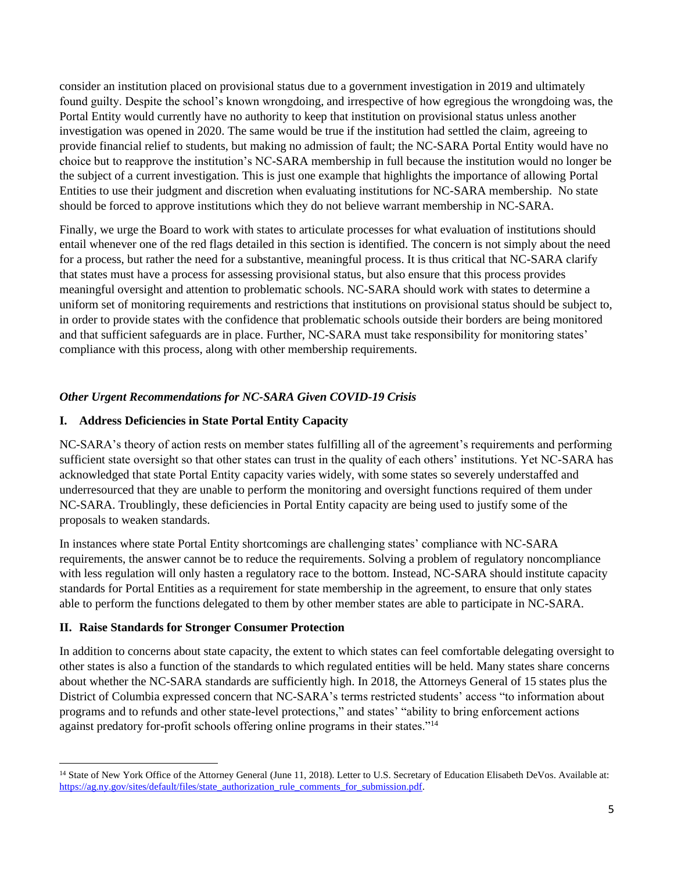consider an institution placed on provisional status due to a government investigation in 2019 and ultimately found guilty. Despite the school's known wrongdoing, and irrespective of how egregious the wrongdoing was, the Portal Entity would currently have no authority to keep that institution on provisional status unless another investigation was opened in 2020. The same would be true if the institution had settled the claim, agreeing to provide financial relief to students, but making no admission of fault; the NC-SARA Portal Entity would have no choice but to reapprove the institution's NC-SARA membership in full because the institution would no longer be the subject of a current investigation. This is just one example that highlights the importance of allowing Portal Entities to use their judgment and discretion when evaluating institutions for NC-SARA membership. No state should be forced to approve institutions which they do not believe warrant membership in NC-SARA.

Finally, we urge the Board to work with states to articulate processes for what evaluation of institutions should entail whenever one of the red flags detailed in this section is identified. The concern is not simply about the need for a process, but rather the need for a substantive, meaningful process. It is thus critical that NC-SARA clarify that states must have a process for assessing provisional status, but also ensure that this process provides meaningful oversight and attention to problematic schools. NC-SARA should work with states to determine a uniform set of monitoring requirements and restrictions that institutions on provisional status should be subject to, in order to provide states with the confidence that problematic schools outside their borders are being monitored and that sufficient safeguards are in place. Further, NC-SARA must take responsibility for monitoring states' compliance with this process, along with other membership requirements.

# *Other Urgent Recommendations for NC-SARA Given COVID-19 Crisis*

## **I. Address Deficiencies in State Portal Entity Capacity**

NC-SARA's theory of action rests on member states fulfilling all of the agreement's requirements and performing sufficient state oversight so that other states can trust in the quality of each others' institutions. Yet NC-SARA has acknowledged that state Portal Entity capacity varies widely, with some states so severely understaffed and underresourced that they are unable to perform the monitoring and oversight functions required of them under NC-SARA. Troublingly, these deficiencies in Portal Entity capacity are being used to justify some of the proposals to weaken standards.

In instances where state Portal Entity shortcomings are challenging states' compliance with NC-SARA requirements, the answer cannot be to reduce the requirements. Solving a problem of regulatory noncompliance with less regulation will only hasten a regulatory race to the bottom. Instead, NC-SARA should institute capacity standards for Portal Entities as a requirement for state membership in the agreement, to ensure that only states able to perform the functions delegated to them by other member states are able to participate in NC-SARA.

## **II. Raise Standards for Stronger Consumer Protection**

In addition to concerns about state capacity, the extent to which states can feel comfortable delegating oversight to other states is also a function of the standards to which regulated entities will be held. Many states share concerns about whether the NC-SARA standards are sufficiently high. In 2018, the Attorneys General of 15 states plus the District of Columbia expressed concern that NC-SARA's terms restricted students' access "to information about programs and to refunds and other state-level protections," and states' "ability to bring enforcement actions against predatory for-profit schools offering online programs in their states."<sup>14</sup>

<sup>&</sup>lt;sup>14</sup> State of New York Office of the Attorney General (June 11, 2018). Letter to U.S. Secretary of Education Elisabeth DeVos. Available at: [https://ag.ny.gov/sites/default/files/state\\_authorization\\_rule\\_comments\\_for\\_submission.pdf.](https://ag.ny.gov/sites/default/files/state_authorization_rule_comments_for_submission.pdf)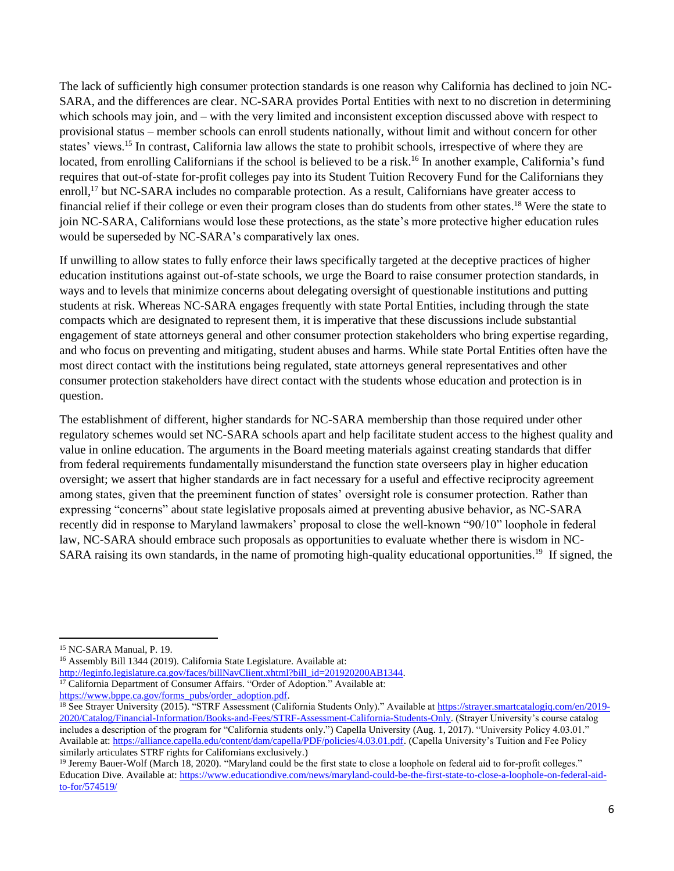The lack of sufficiently high consumer protection standards is one reason why California has declined to join NC-SARA, and the differences are clear. NC-SARA provides Portal Entities with next to no discretion in determining which schools may join, and – with the very limited and inconsistent exception discussed above with respect to provisional status – member schools can enroll students nationally, without limit and without concern for other states' views.<sup>15</sup> In contrast, California law allows the state to prohibit schools, irrespective of where they are located, from enrolling Californians if the school is believed to be a risk.<sup>16</sup> In another example, California's fund requires that out-of-state for-profit colleges pay into its Student Tuition Recovery Fund for the Californians they enroll,<sup>17</sup> but NC-SARA includes no comparable protection. As a result, Californians have greater access to financial relief if their college or even their program closes than do students from other states.<sup>18</sup> Were the state to join NC-SARA, Californians would lose these protections, as the state's more protective higher education rules would be superseded by NC-SARA's comparatively lax ones.

If unwilling to allow states to fully enforce their laws specifically targeted at the deceptive practices of higher education institutions against out-of-state schools, we urge the Board to raise consumer protection standards, in ways and to levels that minimize concerns about delegating oversight of questionable institutions and putting students at risk. Whereas NC-SARA engages frequently with state Portal Entities, including through the state compacts which are designated to represent them, it is imperative that these discussions include substantial engagement of state attorneys general and other consumer protection stakeholders who bring expertise regarding, and who focus on preventing and mitigating, student abuses and harms. While state Portal Entities often have the most direct contact with the institutions being regulated, state attorneys general representatives and other consumer protection stakeholders have direct contact with the students whose education and protection is in question.

The establishment of different, higher standards for NC-SARA membership than those required under other regulatory schemes would set NC-SARA schools apart and help facilitate student access to the highest quality and value in online education. The arguments in the Board meeting materials against creating standards that differ from federal requirements fundamentally misunderstand the function state overseers play in higher education oversight; we assert that higher standards are in fact necessary for a useful and effective reciprocity agreement among states, given that the preeminent function of states' oversight role is consumer protection. Rather than expressing "concerns" about state legislative proposals aimed at preventing abusive behavior, as NC-SARA recently did in response to Maryland lawmakers' proposal to close the well-known "90/10" loophole in federal law, NC-SARA should embrace such proposals as opportunities to evaluate whether there is wisdom in NC-SARA raising its own standards, in the name of promoting high-quality educational opportunities.<sup>19</sup> If signed, the

[http://leginfo.legislature.ca.gov/faces/billNavClient.xhtml?bill\\_id=201920200AB1344.](http://leginfo.legislature.ca.gov/faces/billNavClient.xhtml?bill_id=201920200AB1344)

<sup>&</sup>lt;sup>15</sup> NC-SARA Manual, P. 19.

<sup>&</sup>lt;sup>16</sup> Assembly Bill 1344 (2019). California State Legislature. Available at:

<sup>&</sup>lt;sup>17</sup> California Department of Consumer Affairs. "Order of Adoption." Available at:

[https://www.bppe.ca.gov/forms\\_pubs/order\\_adoption.pdf.](https://www.bppe.ca.gov/forms_pubs/order_adoption.pdf)

<sup>&</sup>lt;sup>18</sup> See Strayer University (2015). "STRF Assessment (California Students Only)." Available a[t https://strayer.smartcatalogiq.com/en/2019-](https://strayer.smartcatalogiq.com/en/2019-2020/Catalog/Financial-Information/Books-and-Fees/STRF-Assessment-California-Students-Only) [2020/Catalog/Financial-Information/Books-and-Fees/STRF-Assessment-California-Students-Only.](https://strayer.smartcatalogiq.com/en/2019-2020/Catalog/Financial-Information/Books-and-Fees/STRF-Assessment-California-Students-Only) (Strayer University's course catalog includes a description of the program for "California students only.") Capella University (Aug. 1, 2017). "University Policy 4.03.01." Available at[: https://alliance.capella.edu/content/dam/capella/PDF/policies/4.03.01.pdf.](https://alliance.capella.edu/content/dam/capella/PDF/policies/4.03.01.pdf) (Capella University's Tuition and Fee Policy similarly articulates STRF rights for Californians exclusively.)

<sup>&</sup>lt;sup>19</sup> Jeremy Bauer-Wolf (March 18, 2020). "Maryland could be the first state to close a loophole on federal aid to for-profit colleges." Education Dive. Available at: [https://www.educationdive.com/news/maryland-could-be-the-first-state-to-close-a-loophole-on-federal-aid](https://www.educationdive.com/news/maryland-could-be-the-first-state-to-close-a-loophole-on-federal-aid-to-for/574519/)[to-for/574519/](https://www.educationdive.com/news/maryland-could-be-the-first-state-to-close-a-loophole-on-federal-aid-to-for/574519/)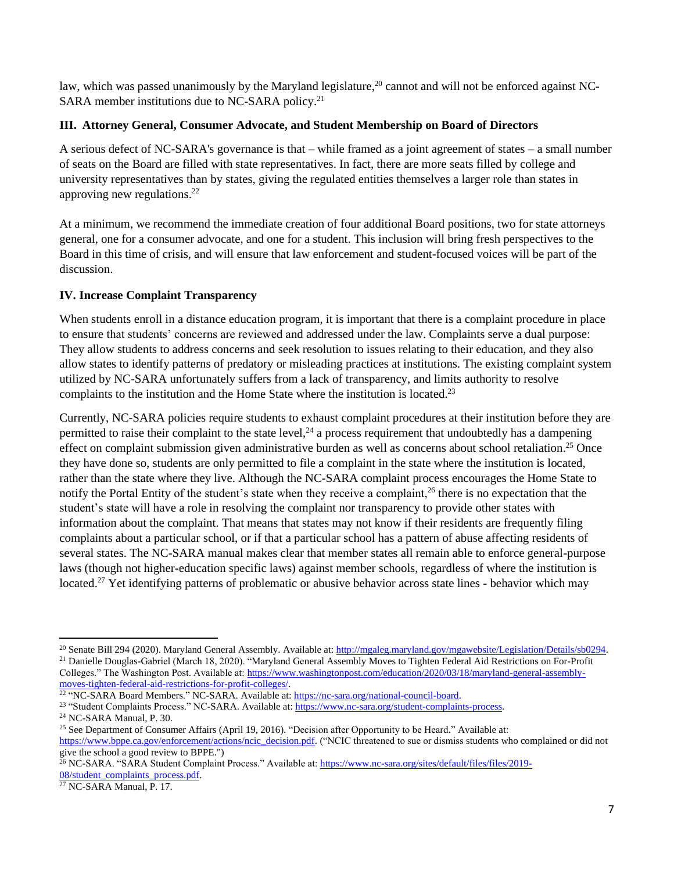law, which was passed unanimously by the Maryland legislature,<sup>20</sup> cannot and will not be enforced against NC-SARA member institutions due to NC-SARA policy.<sup>21</sup>

#### **III. Attorney General, Consumer Advocate, and Student Membership on Board of Directors**

A serious defect of NC-SARA's governance is that – while framed as a joint agreement of states – a small number of seats on the Board are filled with state representatives. In fact, there are more seats filled by college and university representatives than by states, giving the regulated entities themselves a larger role than states in approving new regulations. 22

At a minimum, we recommend the immediate creation of four additional Board positions, two for state attorneys general, one for a consumer advocate, and one for a student. This inclusion will bring fresh perspectives to the Board in this time of crisis, and will ensure that law enforcement and student-focused voices will be part of the discussion.

## **IV. Increase Complaint Transparency**

When students enroll in a distance education program, it is important that there is a complaint procedure in place to ensure that students' concerns are reviewed and addressed under the law. Complaints serve a dual purpose: They allow students to address concerns and seek resolution to issues relating to their education, and they also allow states to identify patterns of predatory or misleading practices at institutions. The existing complaint system utilized by NC-SARA unfortunately suffers from a lack of transparency, and limits authority to resolve complaints to the institution and the Home State where the institution is located.<sup>23</sup>

Currently, NC-SARA policies require students to exhaust complaint procedures at their institution before they are permitted to raise their complaint to the state level,  $^{24}$  a process requirement that undoubtedly has a dampening effect on complaint submission given administrative burden as well as concerns about school retaliation.<sup>25</sup> Once they have done so, students are only permitted to file a complaint in the state where the institution is located, rather than the state where they live. Although the NC-SARA complaint process encourages the Home State to notify the Portal Entity of the student's state when they receive a complaint,<sup>26</sup> there is no expectation that the student's state will have a role in resolving the complaint nor transparency to provide other states with information about the complaint. That means that states may not know if their residents are frequently filing complaints about a particular school, or if that a particular school has a pattern of abuse affecting residents of several states. The NC-SARA manual makes clear that member states all remain able to enforce general-purpose laws (though not higher-education specific laws) against member schools, regardless of where the institution is located.<sup>27</sup> Yet identifying patterns of problematic or abusive behavior across state lines - behavior which may

<sup>20</sup> Senate Bill 294 (2020). Maryland General Assembly. Available at[: http://mgaleg.maryland.gov/mgawebsite/Legislation/Details/sb0294.](http://mgaleg.maryland.gov/mgawebsite/Legislation/Details/sb0294)  <sup>21</sup> Danielle Douglas-Gabriel (March 18, 2020). "Maryland General Assembly Moves to Tighten Federal Aid Restrictions on For-Profit Colleges." The Washington Post. Available at[: https://www.washingtonpost.com/education/2020/03/18/maryland-general-assembly](https://www.washingtonpost.com/education/2020/03/18/maryland-general-assembly-moves-tighten-federal-aid-restrictions-for-profit-colleges/)[moves-tighten-federal-aid-restrictions-for-profit-colleges/.](https://www.washingtonpost.com/education/2020/03/18/maryland-general-assembly-moves-tighten-federal-aid-restrictions-for-profit-colleges/)

<sup>&</sup>lt;sup>22</sup> "NC-SARA Board Members." NC-SARA. Available at[: https://nc-sara.org/national-council-board.](https://nc-sara.org/national-council-board)

<sup>&</sup>lt;sup>23</sup> "Student Complaints Process." NC-SARA. Available at[: https://www.nc-sara.org/student-complaints-process.](https://www.nc-sara.org/student-complaints-process)

<sup>24</sup> NC-SARA Manual, P. 30.

<sup>&</sup>lt;sup>25</sup> See Department of Consumer Affairs (April 19, 2016). "Decision after Opportunity to be Heard." Available at:

[https://www.bppe.ca.gov/enforcement/actions/ncic\\_decision.pdf.](https://www.bppe.ca.gov/enforcement/actions/ncic_decision.pdf) ("NCIC threatened to sue or dismiss students who complained or did not give the school a good review to BPPE.")

<sup>26</sup> NC-SARA. "SARA Student Complaint Process." Available at: [https://www.nc-sara.org/sites/default/files/files/2019-](https://www.nc-sara.org/sites/default/files/files/2019-08/student_complaints_process.pdf) [08/student\\_complaints\\_process.pdf.](https://www.nc-sara.org/sites/default/files/files/2019-08/student_complaints_process.pdf)

<sup>27</sup> NC-SARA Manual, P. 17.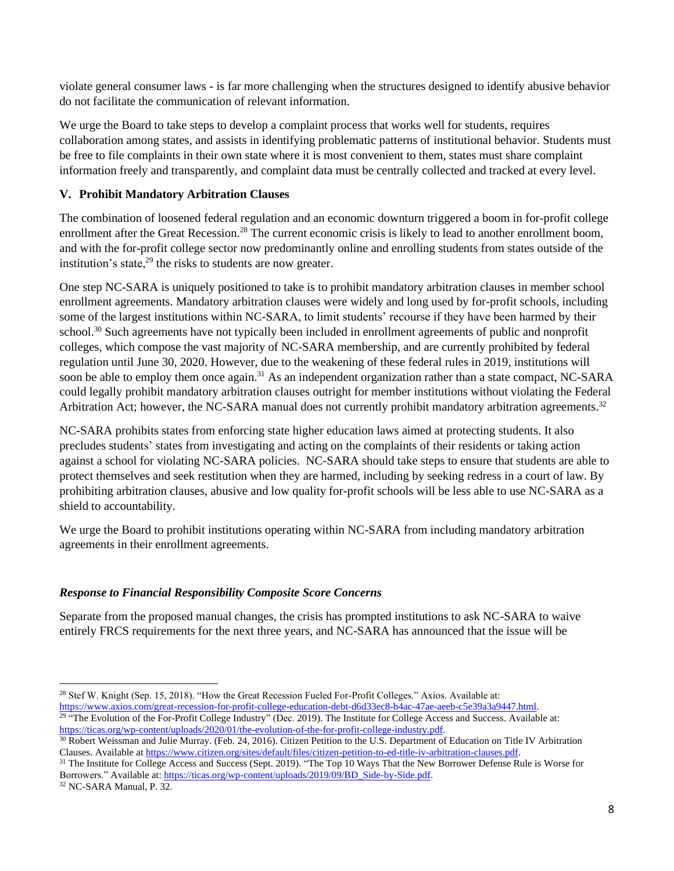violate general consumer laws - is far more challenging when the structures designed to identify abusive behavior do not facilitate the communication of relevant information.

We urge the Board to take steps to develop a complaint process that works well for students, requires collaboration among states, and assists in identifying problematic patterns of institutional behavior. Students must be free to file complaints in their own state where it is most convenient to them, states must share complaint information freely and transparently, and complaint data must be centrally collected and tracked at every level.

## **V. Prohibit Mandatory Arbitration Clauses**

The combination of loosened federal regulation and an economic downturn triggered a boom in for-profit college enrollment after the Great Recession.<sup>28</sup> The current economic crisis is likely to lead to another enrollment boom, and with the for-profit college sector now predominantly online and enrolling students from states outside of the institution's state, $^{29}$  the risks to students are now greater.

One step NC-SARA is uniquely positioned to take is to prohibit mandatory arbitration clauses in member school enrollment agreements. Mandatory arbitration clauses were widely and long used by for-profit schools, including some of the largest institutions within NC-SARA, to limit students' recourse if they have been harmed by their school.<sup>30</sup> Such agreements have not typically been included in enrollment agreements of public and nonprofit colleges, which compose the vast majority of NC-SARA membership, and are currently prohibited by federal regulation until June 30, 2020. However, due to the weakening of these federal rules in 2019, institutions will soon be able to employ them once again.<sup>31</sup> As an independent organization rather than a state compact, NC-SARA could legally prohibit mandatory arbitration clauses outright for member institutions without violating the Federal Arbitration Act; however, the NC-SARA manual does not currently prohibit mandatory arbitration agreements.<sup>32</sup>

NC-SARA prohibits states from enforcing state higher education laws aimed at protecting students. It also precludes students' states from investigating and acting on the complaints of their residents or taking action against a school for violating NC-SARA policies. NC-SARA should take steps to ensure that students are able to protect themselves and seek restitution when they are harmed, including by seeking redress in a court of law. By prohibiting arbitration clauses, abusive and low quality for-profit schools will be less able to use NC-SARA as a shield to accountability.

We urge the Board to prohibit institutions operating within NC-SARA from including mandatory arbitration agreements in their enrollment agreements.

#### *Response to Financial Responsibility Composite Score Concerns*

Separate from the proposed manual changes, the crisis has prompted institutions to ask NC-SARA to waive entirely FRCS requirements for the next three years, and NC-SARA has announced that the issue will be

<sup>28</sup> Stef W. Knight (Sep. 15, 2018). "How the Great Recession Fueled For-Profit Colleges." Axios. Available at:

[https://www.axios.com/great-recession-for-profit-college-education-debt-d6d33ec8-b4ac-47ae-aeeb-c5e39a3a9447.html.](https://www.axios.com/great-recession-for-profit-college-education-debt-d6d33ec8-b4ac-47ae-aeeb-c5e39a3a9447.html) <sup>29</sup> "The Evolution of the For-Profit College Industry" (Dec. 2019). The Institute for College Access and Success. Available at: [https://ticas.org/wp-content/uploads/2020/01/the-evolution-of-the-for-profit-college-industry.pdf.](https://ticas.org/wp-content/uploads/2020/01/the-evolution-of-the-for-profit-college-industry.pdf)

<sup>30</sup> Robert Weissman and Julie Murray. (Feb. 24, 2016). Citizen Petition to the U.S. Department of Education on Title IV Arbitration Clauses. Available a[t https://www.citizen.org/sites/default/files/citizen-petition-to-ed-title-iv-arbitration-clauses.pdf.](https://www.citizen.org/sites/default/files/citizen-petition-to-ed-title-iv-arbitration-clauses.pdf)

<sup>&</sup>lt;sup>31</sup> The Institute for College Access and Success (Sept. 2019). "The Top 10 Ways That the New Borrower Defense Rule is Worse for Borrowers." Available at: [https://ticas.org/wp-content/uploads/2019/09/BD\\_Side-by-Side.pdf.](https://ticas.org/wp-content/uploads/2019/09/BD_Side-by-Side.pdf)

<sup>32</sup> NC-SARA Manual, P. 32.